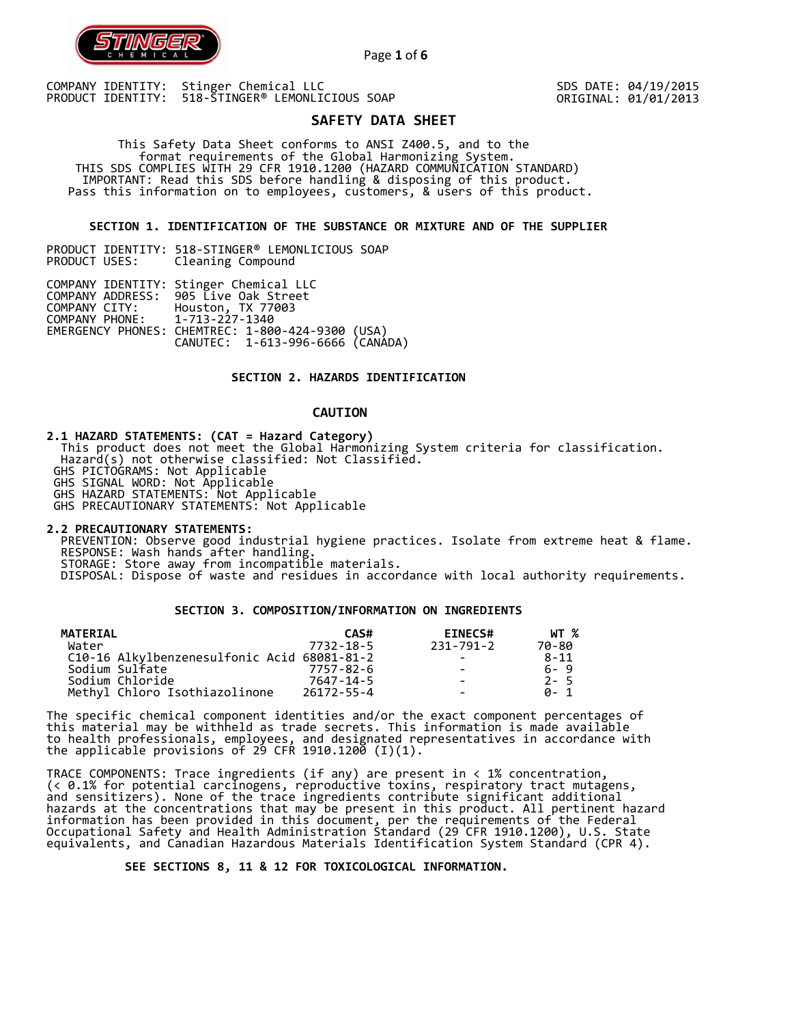

Page **1** of **6**

COMPANY IDENTITY: Stinger Chemical LLC PRODUCT IDENTITY: 518-STINGER® LEMONLICIOUS SOAP SDS DATE: 04/19/2015 ORIGINAL: 01/01/2013

# **SAFETY DATA SHEET**

 This Safety Data Sheet conforms to ANSI Z400.5, and to the format requirements of the Global Harmonizing System. THIS SDS COMPLIES WITH 29 CFR 1910.1200 (HAZARD COMMUNICATION STANDARD) IMPORTANT: Read this SDS before handling & disposing of this product. Pass this information on to employees, customers, & users of this product.

## **SECTION 1. IDENTIFICATION OF THE SUBSTANCE OR MIXTURE AND OF THE SUPPLIER**

PRODUCT IDENTITY: 518-STINGER® LEMONLICIOUS SOAP Cleaning Compound

|                               | COMPANY IDENTITY: Stinger Chemical LLC           |  |
|-------------------------------|--------------------------------------------------|--|
|                               | COMPANY ADDRESS: 905 Live Oak Street             |  |
| COMPANY CITY:                 | Houston, TX 77003                                |  |
| COMPANY PHONE: 1-713-227-1340 |                                                  |  |
|                               | EMERGENCY PHONES: CHEMTREC: 1-800-424-9300 (USA) |  |
|                               | CANUTEC: 1-613-996-6666 (CANÁDA)                 |  |

## **SECTION 2. HAZARDS IDENTIFICATION**

## **CAUTION**

**2.1 HAZARD STATEMENTS: (CAT = Hazard Category)**

 This product does not meet the Global Harmonizing System criteria for classification. Hazard(s) not otherwise classified: Not Classified.

GHS PICTOGRAMS: Not Applicable

GHS SIGNAL WORD: Not Applicable

GHS HAZARD STATEMENTS: Not Applicable

GHS PRECAUTIONARY STATEMENTS: Not Applicable

**2.2 PRECAUTIONARY STATEMENTS:**  PREVENTION: Observe good industrial hygiene practices. Isolate from extreme heat & flame. RESPONSE: Wash hands after handling. STORAGE: Store away from incompatible materials. DISPOSAL: Dispose of waste and residues in accordance with local authority requirements.

## **SECTION 3. COMPOSITION/INFORMATION ON INGREDIENTS**

| MATERIAL                                    | CAS#            | <b>EINECS#</b>           | WT %     |
|---------------------------------------------|-----------------|--------------------------|----------|
| Water                                       | 7732-18-5       | 231-791-2                | 70-80    |
| C10-16 Alkylbenzenesulfonic Acid 68081-81-2 |                 |                          | $8 - 11$ |
| Sodium Sulfate                              | $7757 - 82 - 6$ | $\overline{\phantom{0}}$ | $6 - 9$  |
| Sodium Chloride                             | 7647-14-5       |                          | $2 - 5$  |
| Methyl Chloro Isothiazolinone               | 26172-55-4      | $\overline{\phantom{0}}$ | A- 1     |

The specific chemical component identities and/or the exact component percentages of this material may be withheld as trade secrets. This information is made available to health professionals, employees, and designated representatives in accordance with the applicable provisions of 29 CFR 1910.1200̄ (I)(1).  $\overline{\phantom{a}}$ 

TRACE COMPONENTS: Trace ingredients (if any) are present in < 1% concentration, (< 0.1% for potential carcinogens, reproductive toxins, respiratory tract mutagens, and sensitizers). None of the trace ingredients contribute significant additional hazards at the concentrations that may be present in this product. All pertinent hazard information has been provided in this document, per the requirements of the Federal Occupational Safety and Health Administration Standard (29 CFR 1910.1200), U.S. State equivalents, and Canadian Hazardous Materials Identification System Standard (CPR 4).

 **SEE SECTIONS 8, 11 & 12 FOR TOXICOLOGICAL INFORMATION.**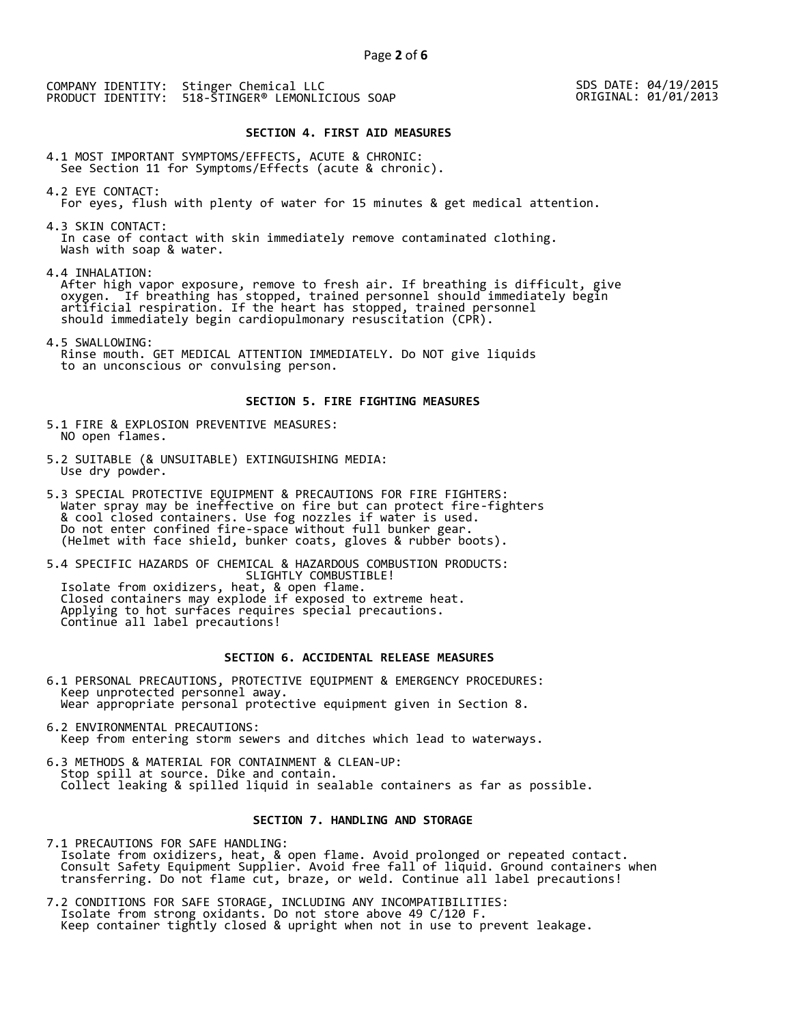SDS DATE: 04/19/2015 ORIGINAL: 01/01/2013

## **SECTION 4. FIRST AID MEASURES**

4.1 MOST IMPORTANT SYMPTOMS/EFFECTS, ACUTE & CHRONIC: See Section 11 for Symptoms/Effects (acute & chronic).

4.2 EYE CONTACT: For eyes, flush with plenty of water for 15 minutes & get medical attention.

4.3 SKIN CONTACT: In case of contact with skin immediately remove contaminated clothing. Wash with soap & water.

4.4 INHALATION:

 After high vapor exposure, remove to fresh air. If breathing is difficult, give oxygen. If breathing has stopped, trained personnel should immediately begin artificial respiration. If the heart has stopped, trained personnel should immediately begin cardiopulmonary resuscitation (CPR).

4.5 SWALLOWING: Rinse mouth. GET MEDICAL ATTENTION IMMEDIATELY. Do NOT give liquids to an unconscious or convulsing person.

### **SECTION 5. FIRE FIGHTING MEASURES**

5.1 FIRE & EXPLOSION PREVENTIVE MEASURES: NO open flames.

- 5.2 SUITABLE (& UNSUITABLE) EXTINGUISHING MEDIA: Use dry powder.
- 5.3 SPECIAL PROTECTIVE EQUIPMENT & PRECAUTIONS FOR FIRE FIGHTERS: Water spray may be ineffective on fire but can protect fire-fighters & cool closed containers. Use fog nozzles if water is used. Do not enter confined fire-space without full bunker gear. (Helmet with face shield, bunker coats, gloves & rubber boots).

5.4 SPECIFIC HAZARDS OF CHEMICAL & HAZARDOUS COMBUSTION PRODUCTS: SLIGHTLY COMBUSTIBLE! Isolate from oxidizers, heat, & open flame. Closed containers may explode if exposed to extreme heat. Applying to hot surfaces requires special precautions. Continue all label precautions!

## **SECTION 6. ACCIDENTAL RELEASE MEASURES**

- 6.1 PERSONAL PRECAUTIONS, PROTECTIVE EQUIPMENT & EMERGENCY PROCEDURES: Keep unprotected personnel away. Wear appropriate personal protective equipment given in Section 8.
- 6.2 ENVIRONMENTAL PRECAUTIONS: Keep from entering storm sewers and ditches which lead to waterways.
- 6.3 METHODS & MATERIAL FOR CONTAINMENT & CLEAN-UP: Stop spill at source. Dike and contain. Collect leaking & spilled liquid in sealable containers as far as possible.

## **SECTION 7. HANDLING AND STORAGE**

7.1 PRECAUTIONS FOR SAFE HANDLING: Isolate from oxidizers, heat, & open flame. Avoid prolonged or repeated contact. Consult Safety Equipment Supplier. Avoid free fall of liquid. Ground containers when transferring. Do not flame cut, braze, or weld. Continue all label precautions!

7.2 CONDITIONS FOR SAFE STORAGE, INCLUDING ANY INCOMPATIBILITIES: Isolate from strong oxidants. Do not store above 49 C/120 F. Keep container tightly closed & upright when not in use to prevent leakage.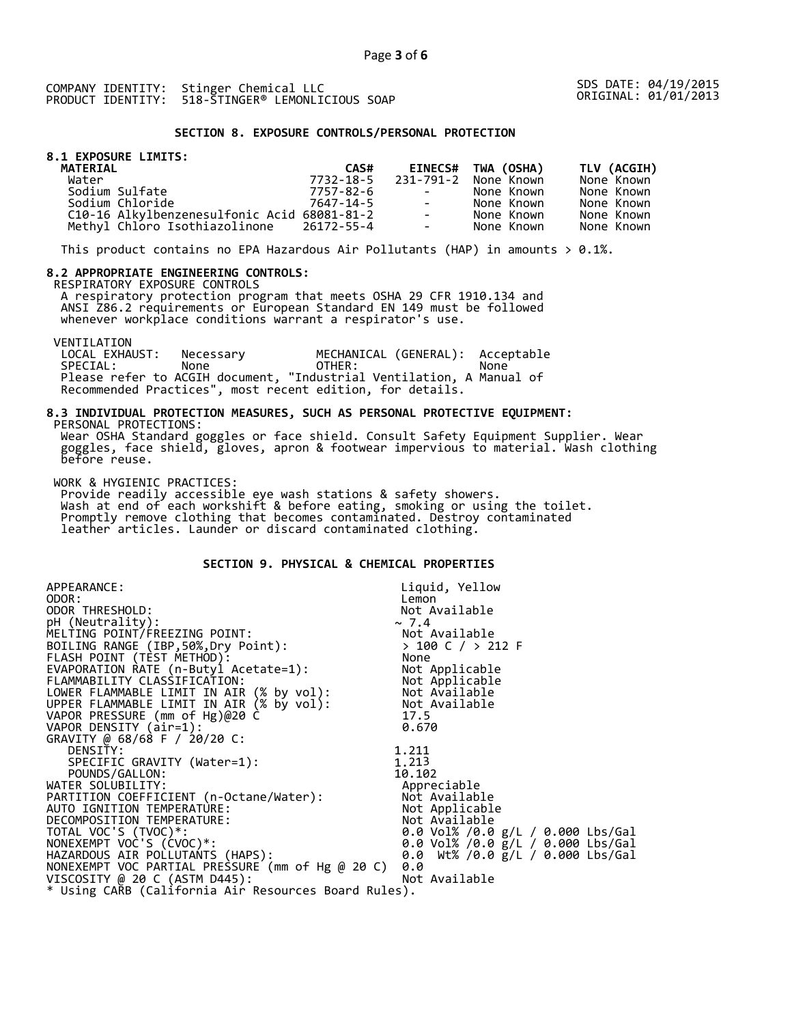SDS DATE: 04/19/2015 ORIGINAL: 01/01/2013

## **SECTION 8. EXPOSURE CONTROLS/PERSONAL PROTECTION**

## **8.1 EXPOSURE LIMITS:**

| <b>MATERIAL</b>                             | CAS#      |                      | EINECS# TWA (OSHA)   | TLV (ACGIH) |
|---------------------------------------------|-----------|----------------------|----------------------|-------------|
| Water                                       | 7732-18-5 |                      | 231-791-2 None Known | None Known  |
| Sodium Sulfate                              | 7757-82-6 | and the state of the | None Known           | None Known  |
| Sodium Chloride                             | 7647-14-5 | $\sim$ 100 $\mu$     | None Known           | None Known  |
| C10-16 Alkylbenzenesulfonic Acid 68081-81-2 |           | $\sim$               | None Known           | None Known  |
| Methyl Chloro Isothiazolinone 26172-55-4    |           | $\sim$               | None Known           | None Known  |

This product contains no EPA Hazardous Air Pollutants (HAP) in amounts  $> 0.1\%$ .

#### **8.2 APPROPRIATE ENGINEERING CONTROLS:**

RESPIRATORY EXPOSURE CONTROLS

 A respiratory protection program that meets OSHA 29 CFR 1910.134 and ANSI Z86.2 requirements or European Standard EN 149 must be followed whenever workplace conditions warrant a respirator's use.

VENTILATION<br>LOCAL EXHAUST: LOCAL EXHAUST: Necessary MECHANICAL (GENERAL): Acceptable SPECIAL: None OTHER: None Please refer to ACGIH document, "Industrial Ventilation, A Manual of Recommended Practices", most recent edition, for details.

#### **8.3 INDIVIDUAL PROTECTION MEASURES, SUCH AS PERSONAL PROTECTIVE EQUIPMENT:**  PERSONAL PROTECTIONS:

 Wear OSHA Standard goggles or face shield. Consult Safety Equipment Supplier. Wear goggles, face shield, gloves, apron & footwear impervious to material. Wash clothing before reuse.

WORK & HYGIENIC PRACTICES:

 Provide readily accessible eye wash stations & safety showers. Wash at end of each workshift & before eating, smoking or using the toilet. Promptly remove clothing that becomes contaminated. Destroy contaminated leather articles. Launder or discard contaminated clothing.

## **SECTION 9. PHYSICAL & CHEMICAL PROPERTIES**

| APPEARANCE:                                                                                                                                      | Liquid, Yellow                         |  |  |  |
|--------------------------------------------------------------------------------------------------------------------------------------------------|----------------------------------------|--|--|--|
| ODOR:                                                                                                                                            | Lemon                                  |  |  |  |
| ODOR THRESHOLD:                                                                                                                                  | Not Available                          |  |  |  |
| pH (Neutrality):                                                                                                                                 | $\sim 7.4$                             |  |  |  |
| MELTING POINT/FREEZING POINT:                                                                                                                    |                                        |  |  |  |
| BOILING RANGE (IBP, 50%, Dry Point):                                                                                                             |                                        |  |  |  |
| FLASH POINT (TÈST METHOD):                                                                                                                       | NOT AVAIIAU.<br>> 100 C / > 212 F<br>" |  |  |  |
| EVAPORATION RATE (n-Butyl Acetate=1):                                                                                                            | Not Applicable                         |  |  |  |
|                                                                                                                                                  |                                        |  |  |  |
|                                                                                                                                                  |                                        |  |  |  |
| FLAMMABILITY CLASSIFICATION:<br>LOWER FLAMMABLE LIMIT IN AIR (% by vol): Not Available<br>UPPER FLAMMABLE LIMIT IN AIR (% by vol): Not Available |                                        |  |  |  |
| VAPOR PRESSURE (mm of Hg)@20 C                                                                                                                   | 17.5                                   |  |  |  |
| VAPOR DENSITY (air=1):                                                                                                                           | 0.670                                  |  |  |  |
| GRAVITY @ 68/68 F / 20/20 C:                                                                                                                     |                                        |  |  |  |
| DENSITY:                                                                                                                                         | 1.211                                  |  |  |  |
| SPECIFIC GRAVITY (Water=1):                                                                                                                      | 1.213                                  |  |  |  |
| POUNDS/GALLON:                                                                                                                                   | 10.102                                 |  |  |  |
| WATER SOLUBILITY:                                                                                                                                | Appreciable                            |  |  |  |
| PARTITION COEFFICIENT (n-Octane/Water):                                                                                                          | Not Available                          |  |  |  |
| AUTO IGNITION TEMPERATURE:                                                                                                                       | Not Applicable                         |  |  |  |
| DECOMPOSITION TEMPERATURE:                                                                                                                       | Not Available                          |  |  |  |
| TOTAL VOC'S (TVOC)*:                                                                                                                             | 0.0 Vol% /0.0 $g/L$ / 0.000 Lbs/Gal    |  |  |  |
| NONEXEMPT VOC'S (CVOC)*:                                                                                                                         | 0.0 Vol% /0.0 g/L / 0.000 Lbs/Gal      |  |  |  |
| HAZARDOUS AIR POLLUTANTS (HAPS):                                                                                                                 | 0.0 Wt% /0.0 g/L / 0.000 Lbs/Gal       |  |  |  |
| NONEXEMPT VOC PARTIAL PRESSURE (mm of Hg @ 20 C)                                                                                                 | 0.0                                    |  |  |  |
| VISCOSITY @ 20 C (ASTM D445):                                                                                                                    | Not Available                          |  |  |  |
| * Using CARB (California Air Resources Board Rules).                                                                                             |                                        |  |  |  |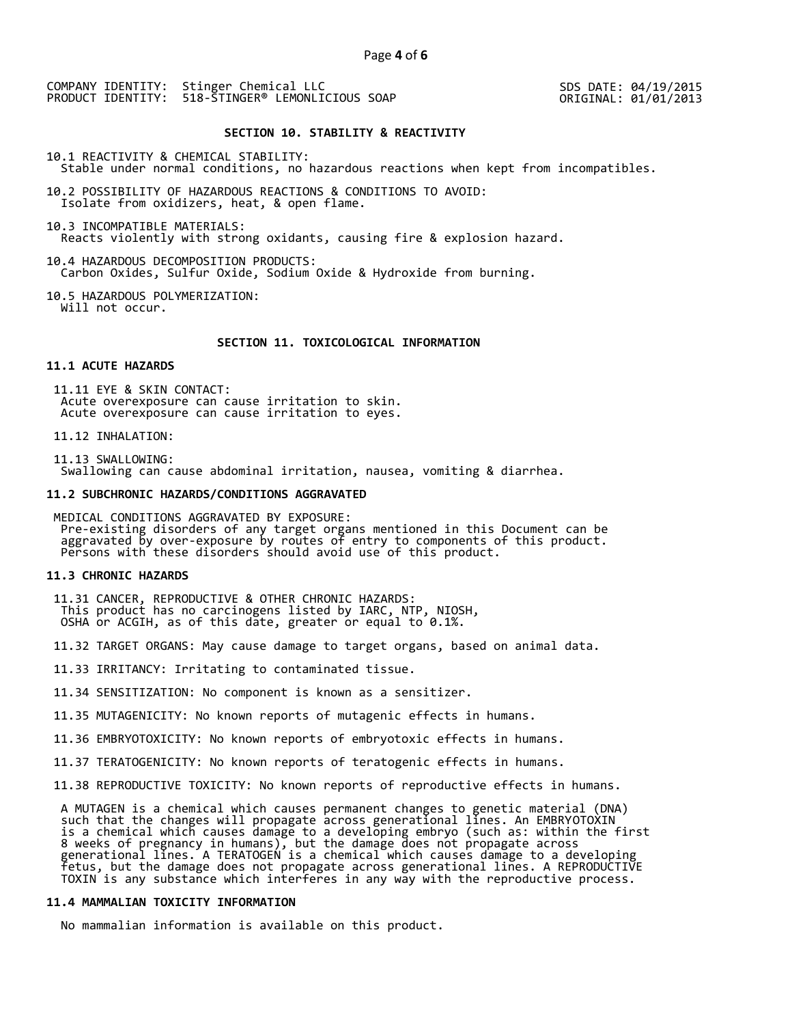SDS DATE: 04/19/2015 ORIGINAL: 01/01/2013

### **SECTION 10. STABILITY & REACTIVITY**

10.1 REACTIVITY & CHEMICAL STABILITY: Stable under normal conditions, no hazardous reactions when kept from incompatibles.

10.2 POSSIBILITY OF HAZARDOUS REACTIONS & CONDITIONS TO AVOID: Isolate from oxidizers, heat, & open flame.

10.3 INCOMPATIBLE MATERIALS: Reacts violently with strong oxidants, causing fire & explosion hazard.

10.4 HAZARDOUS DECOMPOSITION PRODUCTS: Carbon Oxides, Sulfur Oxide, Sodium Oxide & Hydroxide from burning.

10.5 HAZARDOUS POLYMERIZATION: Will not occur.

#### **SECTION 11. TOXICOLOGICAL INFORMATION**

## **11.1 ACUTE HAZARDS**

 11.11 EYE & SKIN CONTACT: Acute overexposure can cause irritation to skin. Acute overexposure can cause irritation to eyes.

11.12 INHALATION:

 11.13 SWALLOWING: Swallowing can cause abdominal irritation, nausea, vomiting & diarrhea.

#### **11.2 SUBCHRONIC HAZARDS/CONDITIONS AGGRAVATED**

 MEDICAL CONDITIONS AGGRAVATED BY EXPOSURE: Pre-existing disorders of any target organs mentioned in this Document can be aggravated by over-exposure by routes of entry to components of this product. Persons with these disorders should avoid use of this product.

#### **11.3 CHRONIC HAZARDS**

 11.31 CANCER, REPRODUCTIVE & OTHER CHRONIC HAZARDS: This product has no carcinogens listed by IARC, NTP, NIOSH, OSHA or ACGIH, as of this date, greater or equal to 0.1%.

11.32 TARGET ORGANS: May cause damage to target organs, based on animal data.

11.33 IRRITANCY: Irritating to contaminated tissue.

11.34 SENSITIZATION: No component is known as a sensitizer.

11.35 MUTAGENICITY: No known reports of mutagenic effects in humans.

11.36 EMBRYOTOXICITY: No known reports of embryotoxic effects in humans.

11.37 TERATOGENICITY: No known reports of teratogenic effects in humans.

11.38 REPRODUCTIVE TOXICITY: No known reports of reproductive effects in humans.

 A MUTAGEN is a chemical which causes permanent changes to genetic material (DNA) such that the changes will propagate across generational lines. An EMBRYOTOXIN is a chemical which causes damage to a developing embryo (such as: within the first 8 weeks of pregnancy in humans), but the damage does not propagate across generational lines. A TERATOGEN is a chemical which causes damage to a developing fetus, but the damage does not propagate across generational lines. A REPRODUCTIVE TOXIN is any substance which interferes in any way with the reproductive process.

## **11.4 MAMMALIAN TOXICITY INFORMATION**

No mammalian information is available on this product.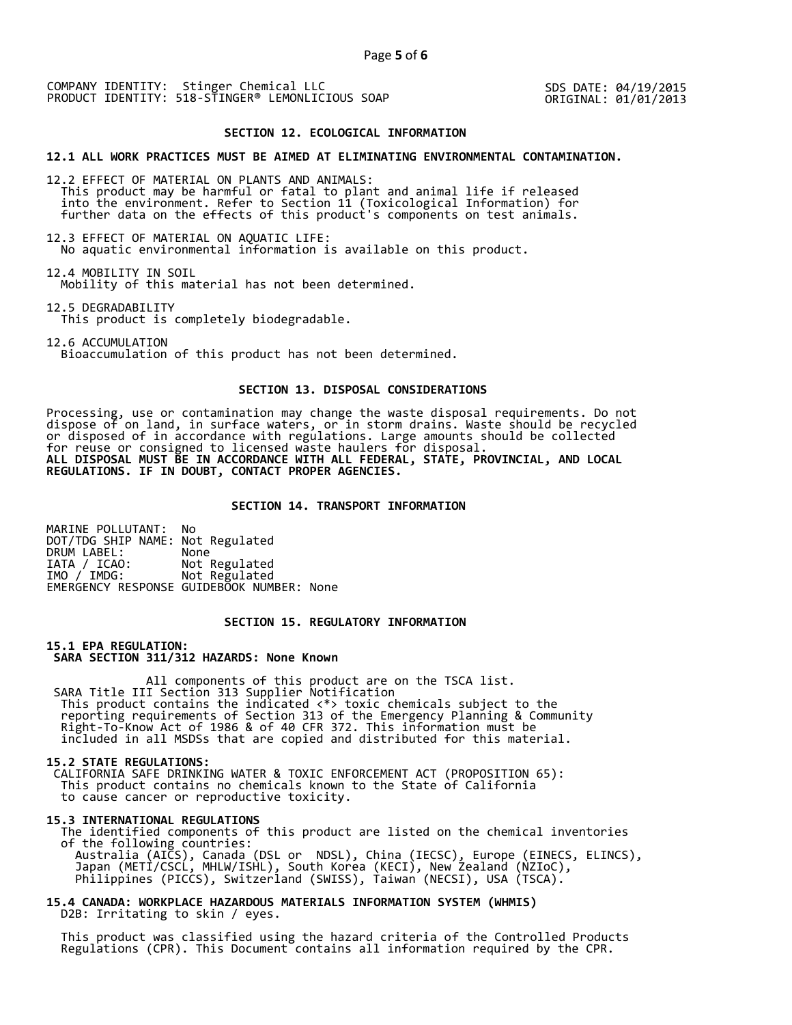SDS DATE: 04/19/2015 ORIGINAL: 01/01/2013

#### **SECTION 12. ECOLOGICAL INFORMATION**

#### **12.1 ALL WORK PRACTICES MUST BE AIMED AT ELIMINATING ENVIRONMENTAL CONTAMINATION.**

12.2 EFFECT OF MATERIAL ON PLANTS AND ANIMALS: This product may be harmful or fatal to plant and animal life if released into the environment. Refer to Section 11 (Toxicological Information) for further data on the effects of this product's components on test animals.

12.3 EFFECT OF MATERIAL ON AQUATIC LIFE: No aquatic environmental information is available on this product.

12.4 MOBILITY IN SOIL Mobility of this material has not been determined.

12.5 DEGRADABILITY This product is completely biodegradable.

12.6 ACCUMULATION Bioaccumulation of this product has not been determined.

## **SECTION 13. DISPOSAL CONSIDERATIONS**

Processing, use or contamination may change the waste disposal requirements. Do not dispose of on land, in surface waters, or in storm drains. Waste should be recycled or disposed of in accordance with regulations. Large amounts should be collected for reuse or consigned to licensed waste haulers for disposal. **ALL DISPOSAL MUST BE IN ACCORDANCE WITH ALL FEDERAL, STATE, PROVINCIAL, AND LOCAL REGULATIONS. IF IN DOUBT, CONTACT PROPER AGENCIES.** 

### **SECTION 14. TRANSPORT INFORMATION**

MARINE POLLUTANT: No DOT/TDG SHIP NAME: Not Regulated DRUM LABEL:<br>IATA / ICAO: IATA / ICAO: Not Regulated<br>IMO / IMDG: Not Regulated Not Regulated EMERGENCY RESPONSE GUIDEBOOK NUMBER: None

## **SECTION 15. REGULATORY INFORMATION**

**15.1 EPA REGULATION: SARA SECTION 311/312 HAZARDS: None Known** 

All components of this product are on the TSCA list. SARA Title III Section 313 Supplier Notification This product contains the indicated <\*> toxic chemicals subject to the reporting requirements of Section 313 of the Emergency Planning & Community Right-To-Know Act of 1986 & of 40 CFR 372. This information must be included in all MSDSs that are copied and distributed for this material.

#### **15.2 STATE REGULATIONS:**

 CALIFORNIA SAFE DRINKING WATER & TOXIC ENFORCEMENT ACT (PROPOSITION 65): This product contains no chemicals known to the State of California to cause cancer or reproductive toxicity.

#### **15.3 INTERNATIONAL REGULATIONS**

 The identified components of this product are listed on the chemical inventories of the following countries: Australia (AICS), Canada (DSL or NDSL), China (IECSC), Europe (EINECS, ELINCS), Japan (METI/CSCL, MHLW/ISHL), South Korea (KECI), New Zealand (NZIoC), Philippines (PICCS), Switzerland (SWISS), Taiwan (NECSI), USA (TSCA).

**15.4 CANADA: WORKPLACE HAZARDOUS MATERIALS INFORMATION SYSTEM (WHMIS)**  D2B: Irritating to skin / eyes.

 This product was classified using the hazard criteria of the Controlled Products Regulations (CPR). This Document contains all information required by the CPR.